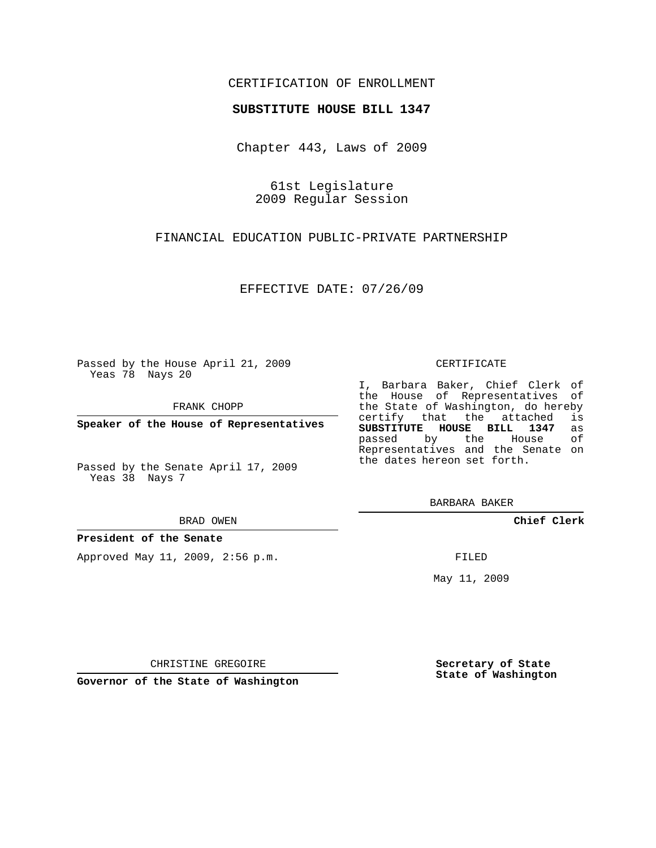# CERTIFICATION OF ENROLLMENT

## **SUBSTITUTE HOUSE BILL 1347**

Chapter 443, Laws of 2009

61st Legislature 2009 Regular Session

FINANCIAL EDUCATION PUBLIC-PRIVATE PARTNERSHIP

EFFECTIVE DATE: 07/26/09

Passed by the House April 21, 2009 Yeas 78 Nays 20

FRANK CHOPP

**Speaker of the House of Representatives**

Passed by the Senate April 17, 2009 Yeas 38 Nays 7

#### BRAD OWEN

**President of the Senate**

Approved May 11, 2009, 2:56 p.m.

#### CERTIFICATE

I, Barbara Baker, Chief Clerk of the House of Representatives of the State of Washington, do hereby<br>certify that the attached is certify that the attached **SUBSTITUTE HOUSE BILL 1347** as passed by the House of Representatives and the Senate on the dates hereon set forth.

BARBARA BAKER

**Chief Clerk**

FILED

May 11, 2009

**Secretary of State State of Washington**

CHRISTINE GREGOIRE

**Governor of the State of Washington**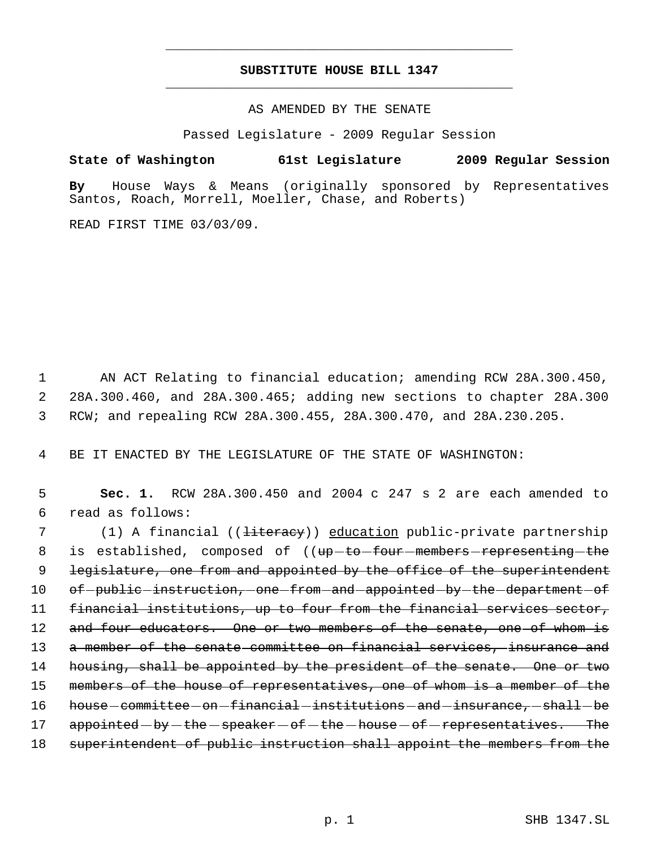# **SUBSTITUTE HOUSE BILL 1347** \_\_\_\_\_\_\_\_\_\_\_\_\_\_\_\_\_\_\_\_\_\_\_\_\_\_\_\_\_\_\_\_\_\_\_\_\_\_\_\_\_\_\_\_\_

\_\_\_\_\_\_\_\_\_\_\_\_\_\_\_\_\_\_\_\_\_\_\_\_\_\_\_\_\_\_\_\_\_\_\_\_\_\_\_\_\_\_\_\_\_

## AS AMENDED BY THE SENATE

Passed Legislature - 2009 Regular Session

**State of Washington 61st Legislature 2009 Regular Session**

**By** House Ways & Means (originally sponsored by Representatives Santos, Roach, Morrell, Moeller, Chase, and Roberts)

READ FIRST TIME 03/03/09.

 1 AN ACT Relating to financial education; amending RCW 28A.300.450, 2 28A.300.460, and 28A.300.465; adding new sections to chapter 28A.300 3 RCW; and repealing RCW 28A.300.455, 28A.300.470, and 28A.230.205.

4 BE IT ENACTED BY THE LEGISLATURE OF THE STATE OF WASHINGTON:

 5 **Sec. 1.** RCW 28A.300.450 and 2004 c 247 s 2 are each amended to 6 read as follows:

7 (1) A financial ((<del>literacy</del>)) <u>education</u> public-private partnership 8 is established, composed of ((up-to-four-members-representing-the 9 Legislature, one from and appointed by the office of the superintendent 10 of public instruction, one from and appointed by the department of 11 financial institutions, up to four from the financial services sector, 12 and four educators. One or two members of the senate, one of whom is 13 a member of the senate committee on financial services, insurance and 14 housing, shall be appointed by the president of the senate. One or two 15 members of the house of representatives, one of whom is a member of the 16 house committee on financial institutions and insurance, shall be 17 appointed by the speaker of the house of representatives. The 18 superintendent of public instruction shall appoint the members from the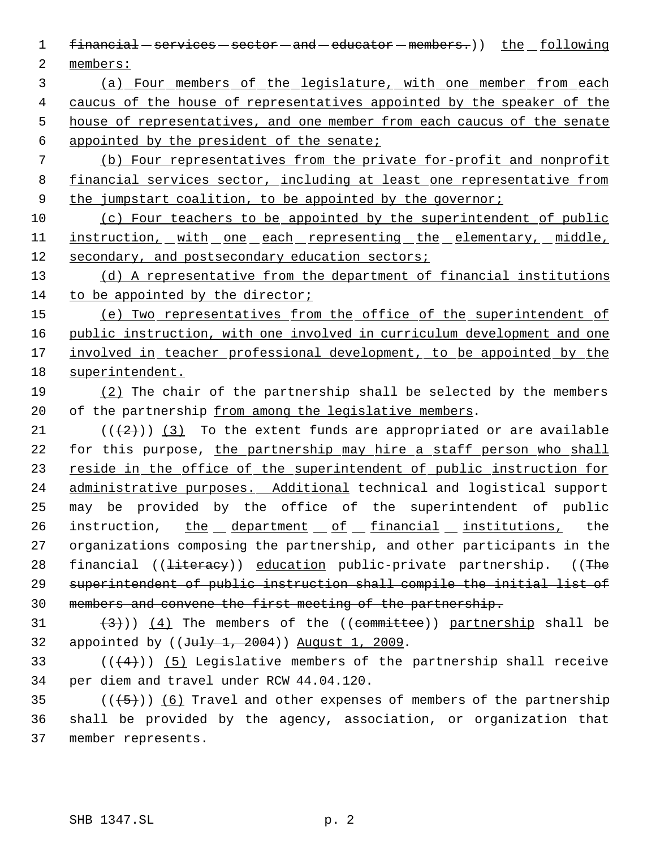- 1 financial services sector and educator members.) the following 2 members:
- 3 (a) Four members of the legislature, with one member from each 4 caucus of the house of representatives appointed by the speaker of the 5 house of representatives, and one member from each caucus of the senate 6 appointed by the president of the senate;
- 7 (b) Four representatives from the private for-profit and nonprofit 8 financial services sector, including at least one representative from 9 the jumpstart coalition, to be appointed by the governor;
- 10 (c) Four teachers to be appointed by the superintendent of public 11 instruction, with one each representing the elementary, middle, 12 secondary, and postsecondary education sectors;
- 13 (d) A representative from the department of financial institutions 14 to be appointed by the director;
- 15 (e) Two representatives from the office of the superintendent of 16 public instruction, with one involved in curriculum development and one 17 involved in teacher professional development, to be appointed by the 18 superintendent.
- 19 (2) The chair of the partnership shall be selected by the members 20 of the partnership from among the legislative members.
- 21  $((+2))$   $(3)$  To the extent funds are appropriated or are available 22 for this purpose, the partnership may hire a staff person who shall 23 reside in the office of the superintendent of public instruction for 24 administrative purposes. Additional technical and logistical support 25 may be provided by the office of the superintendent of public 26 instruction, the department of financial institutions, the 27 organizations composing the partnership, and other participants in the 28 financial ((<del>literacy</del>)) education public-private partnership. ((The 29 superintendent of public instruction shall compile the initial list of 30 members and convene the first meeting of the partnership.
- 31  $(3)$   $(4)$  The members of the ((committee)) partnership shall be 32 appointed by  $((\text{July } 1, 2004))$  August 1, 2009.
- 33  $((4+))$  (5) Legislative members of the partnership shall receive 34 per diem and travel under RCW 44.04.120.
- 35  $((+5))$   $(6)$  Travel and other expenses of members of the partnership 36 shall be provided by the agency, association, or organization that 37 member represents.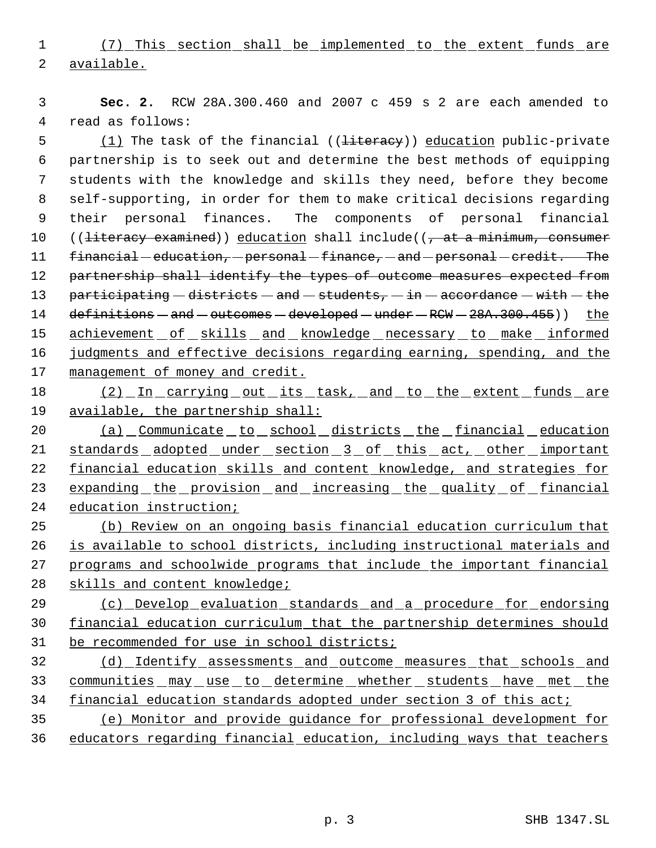(7) This section shall be implemented to the extent funds are available.

 **Sec. 2.** RCW 28A.300.460 and 2007 c 459 s 2 are each amended to read as follows:

5 (1) The task of the financial ((<del>literacy</del>)) education public-private partnership is to seek out and determine the best methods of equipping students with the knowledge and skills they need, before they become self-supporting, in order for them to make critical decisions regarding their personal finances. The components of personal financial 10 (( $literacy examined$ ) education shall include(( $\tau$  at a minimum, consumer 11 financial education, personal finance, and personal credit. The 12 partnership shall identify the types of outcome measures expected from 13 participating  $-$  districts  $-$  and  $-$  students,  $-$  in  $-$  accordance  $-$  with  $-$  the 14 definitions - and - outcomes - developed - under - RCW - 28A.300.455)) the 15 achievement of skills and knowledge necessary to make informed judgments and effective decisions regarding earning, spending, and the management of money and credit.

18 (2) In carrying out its task, and to the extent funds are 19 available, the partnership shall:

 (a) Communicate to school districts the financial education 21 standards adopted under section 3 of this act, other important 22 financial education skills and content knowledge, and strategies for 23 expanding the provision and increasing the quality of financial education instruction;

 (b) Review on an ongoing basis financial education curriculum that is available to school districts, including instructional materials and programs and schoolwide programs that include the important financial skills and content knowledge;

 (c) Develop evaluation standards and a procedure for endorsing financial education curriculum that the partnership determines should be recommended for use in school districts;

 (d) Identify assessments and outcome measures that schools and 33 communities may use to determine whether students have met the financial education standards adopted under section 3 of this act;

 (e) Monitor and provide guidance for professional development for educators regarding financial education, including ways that teachers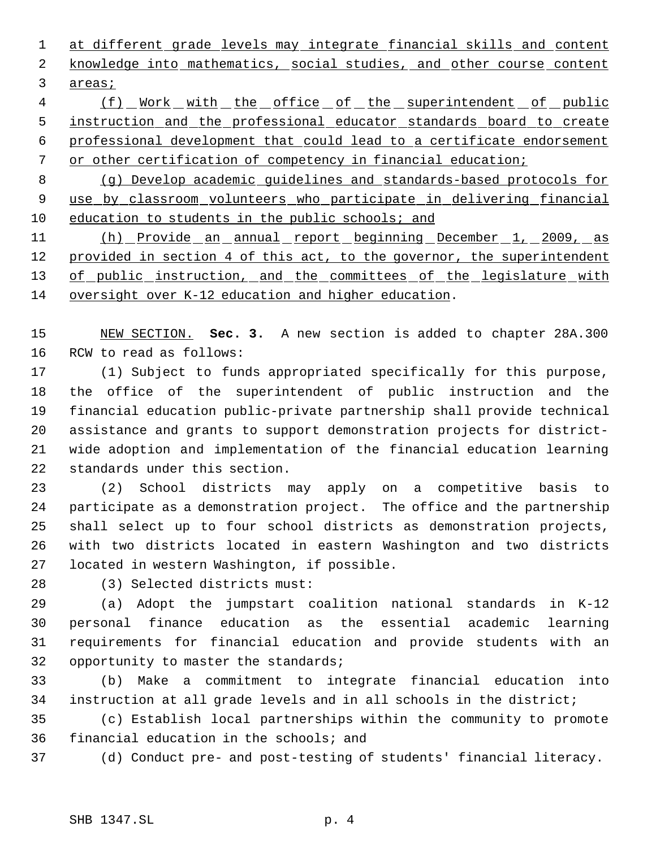1 at different grade levels may integrate financial skills and content 2 knowledge into mathematics, social studies, and other course content areas;

4 (f) Work with the office of the superintendent of public instruction and the professional educator standards board to create professional development that could lead to a certificate endorsement or other certification of competency in financial education;

 (g) Develop academic guidelines and standards-based protocols for use by classroom volunteers who participate in delivering financial 10 education to students in the public schools; and

 (h) Provide an annual report beginning December 1, 2009, as 12 provided in section 4 of this act, to the governor, the superintendent 13 of public instruction, and the committees of the legislature with oversight over K-12 education and higher education.

 NEW SECTION. **Sec. 3.** A new section is added to chapter 28A.300 RCW to read as follows:

 (1) Subject to funds appropriated specifically for this purpose, the office of the superintendent of public instruction and the financial education public-private partnership shall provide technical assistance and grants to support demonstration projects for district- wide adoption and implementation of the financial education learning standards under this section.

 (2) School districts may apply on a competitive basis to participate as a demonstration project. The office and the partnership shall select up to four school districts as demonstration projects, with two districts located in eastern Washington and two districts located in western Washington, if possible.

(3) Selected districts must:

 (a) Adopt the jumpstart coalition national standards in K-12 personal finance education as the essential academic learning requirements for financial education and provide students with an 32 opportunity to master the standards;

 (b) Make a commitment to integrate financial education into instruction at all grade levels and in all schools in the district;

 (c) Establish local partnerships within the community to promote financial education in the schools; and

(d) Conduct pre- and post-testing of students' financial literacy.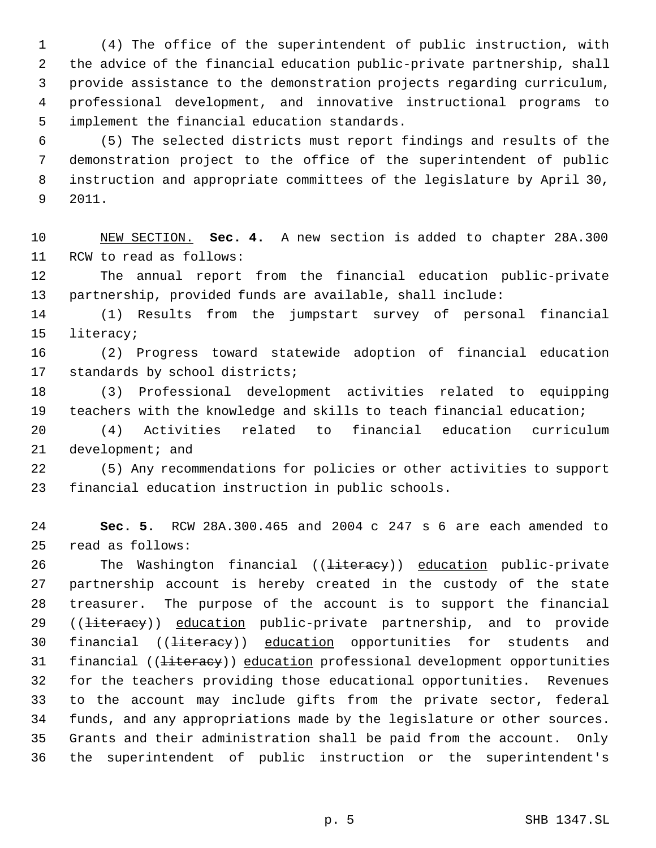(4) The office of the superintendent of public instruction, with the advice of the financial education public-private partnership, shall provide assistance to the demonstration projects regarding curriculum, professional development, and innovative instructional programs to implement the financial education standards.

 (5) The selected districts must report findings and results of the demonstration project to the office of the superintendent of public instruction and appropriate committees of the legislature by April 30, 2011.

 NEW SECTION. **Sec. 4.** A new section is added to chapter 28A.300 RCW to read as follows:

 The annual report from the financial education public-private partnership, provided funds are available, shall include:

 (1) Results from the jumpstart survey of personal financial literacy;

 (2) Progress toward statewide adoption of financial education standards by school districts;

 (3) Professional development activities related to equipping teachers with the knowledge and skills to teach financial education;

 (4) Activities related to financial education curriculum 21 development; and

 (5) Any recommendations for policies or other activities to support financial education instruction in public schools.

 **Sec. 5.** RCW 28A.300.465 and 2004 c 247 s 6 are each amended to read as follows:

26 The Washington financial ((<del>literacy</del>)) education public-private partnership account is hereby created in the custody of the state treasurer. The purpose of the account is to support the financial 29 ((<del>literacy</del>)) education public-private partnership, and to provide 30 financial ((<del>literacy</del>)) education opportunities for students and 31 financial ((<del>literacy</del>)) education professional development opportunities for the teachers providing those educational opportunities. Revenues to the account may include gifts from the private sector, federal funds, and any appropriations made by the legislature or other sources. Grants and their administration shall be paid from the account. Only the superintendent of public instruction or the superintendent's